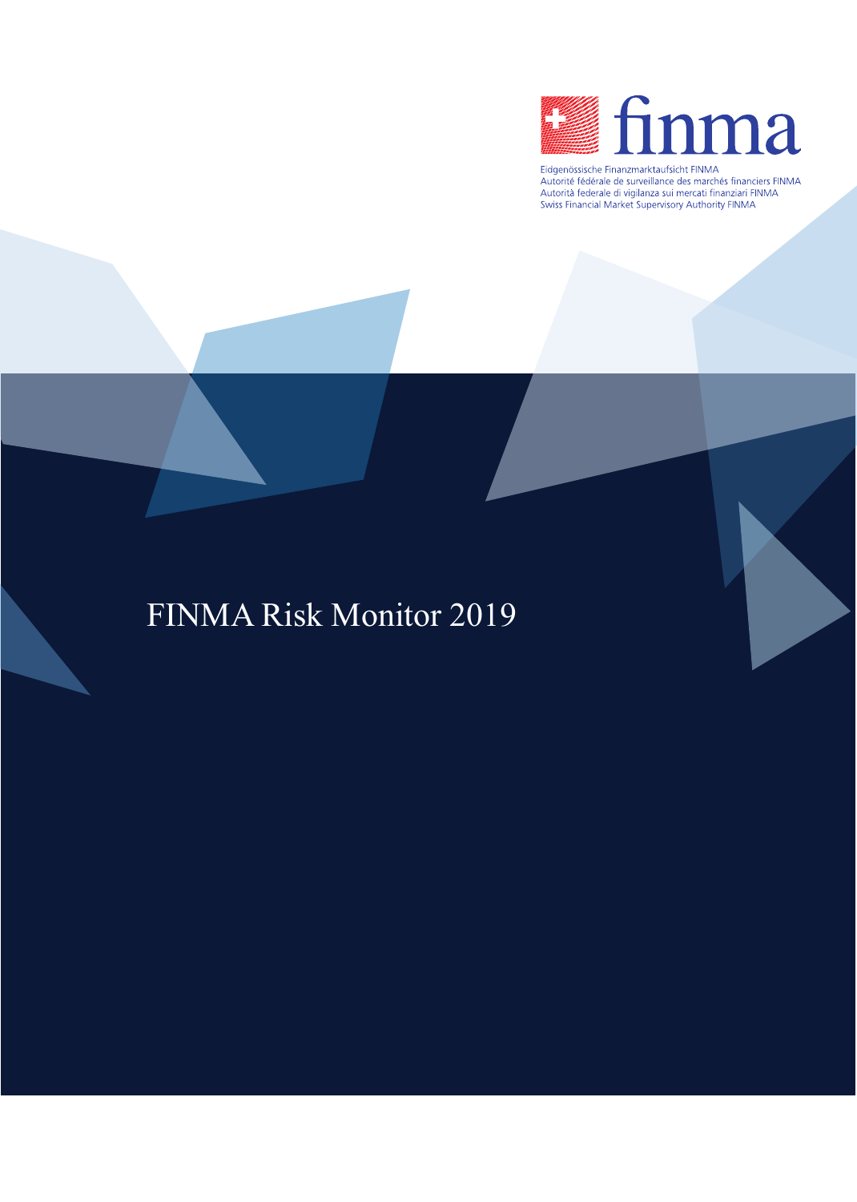

Eidgenössische Finanzmarktaufsicht FINMA Laugenossische eine anzumändere der marches financiers FINMA<br>Autorità federale de surveillance des marchés financiers FINMA<br>Autorità federale di vigilanza sui mercati finanziari FINMA<br>Swiss Financial Market Supervisory Aut

# FINMA Risk Monitor 2019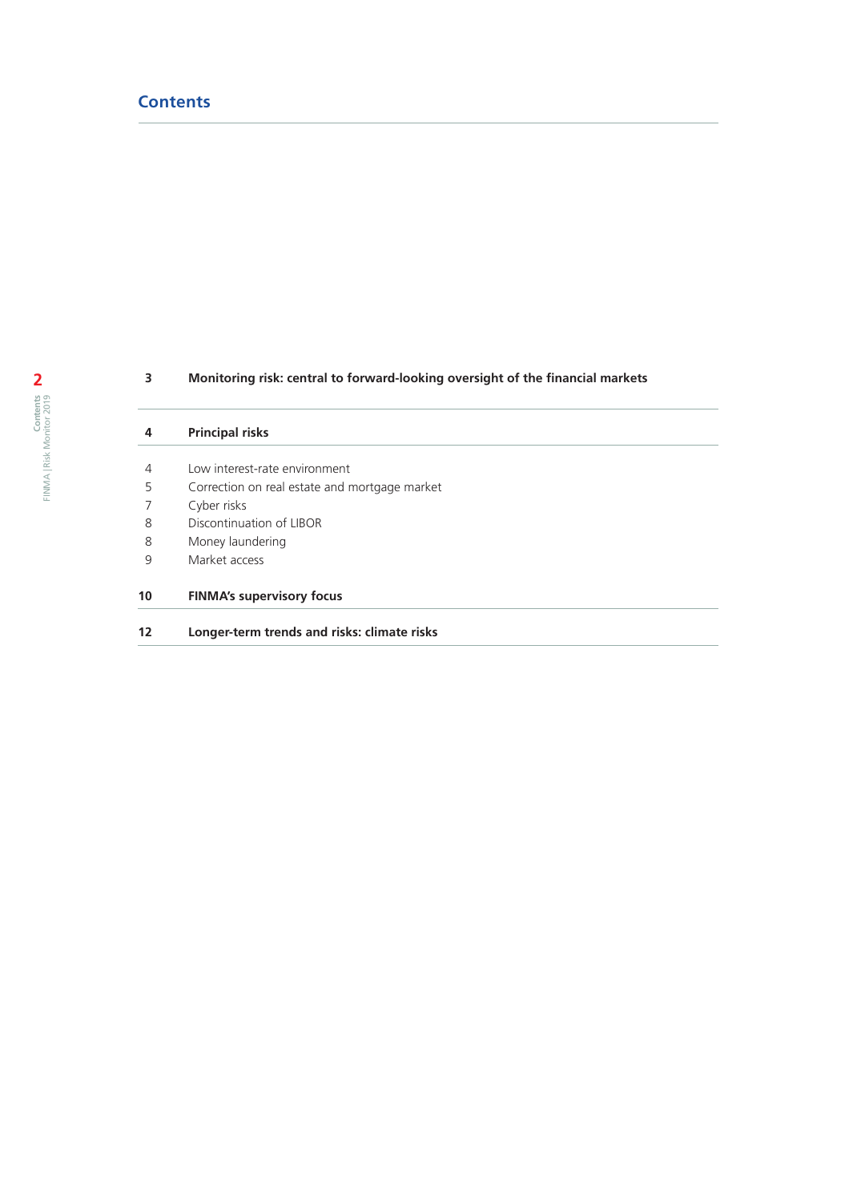# **Contents**

# **Monitoring risk: central to forward-looking oversight of the financial markets**

| 4  | <b>Principal risks</b>                        |
|----|-----------------------------------------------|
| 4  | Low interest-rate environment                 |
| 5  | Correction on real estate and mortgage market |
| 7  | Cyber risks                                   |
| 8  | Discontinuation of LIBOR                      |
| 8  | Money laundering                              |
| 9  | Market access                                 |
| 10 | <b>FINMA's supervisory focus</b>              |
| 12 | Longer-term trends and risks: climate risks   |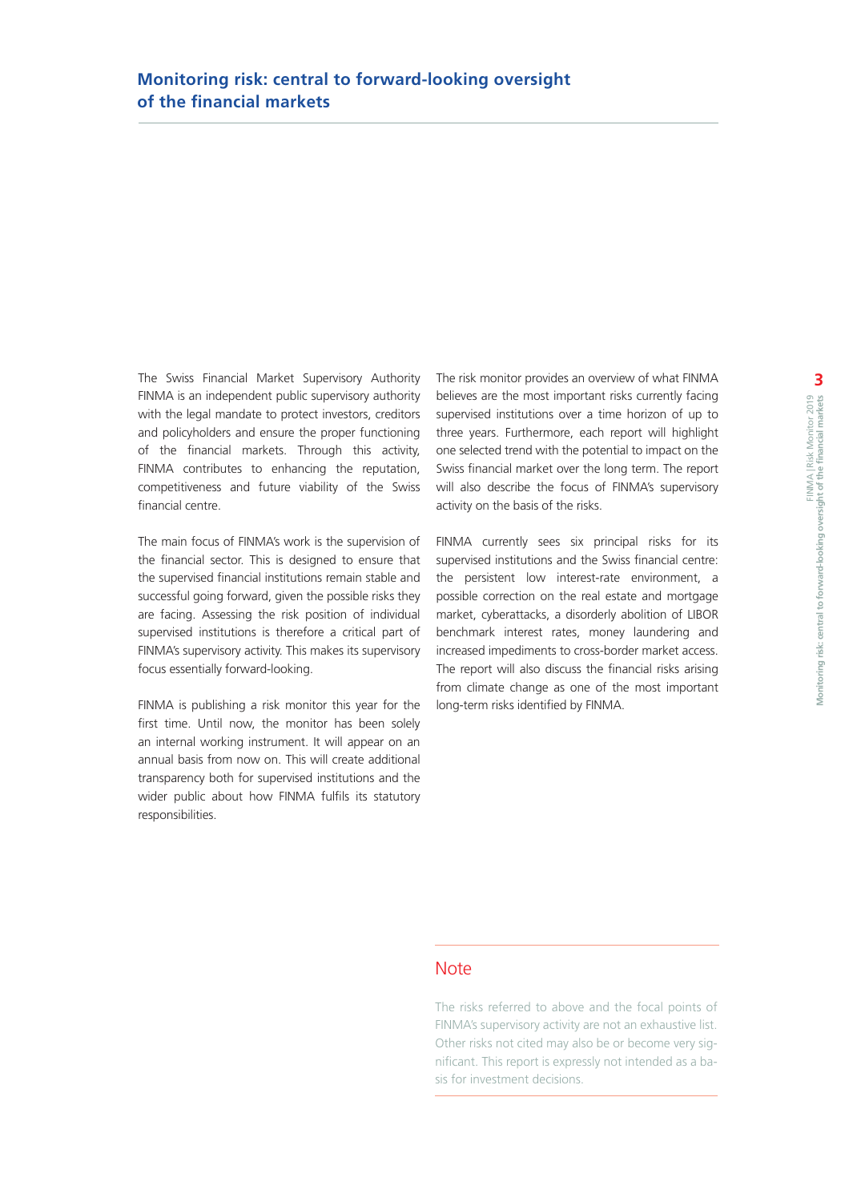The Swiss Financial Market Supervisory Authority FINMA is an independent public supervisory authority with the legal mandate to protect investors, creditors and policyholders and ensure the proper functioning of the financial markets. Through this activity, FINMA contributes to enhancing the reputation, competitiveness and future viability of the Swiss financial centre.

The main focus of FINMA's work is the supervision of the financial sector. This is designed to ensure that the supervised financial institutions remain stable and successful going forward, given the possible risks they are facing. Assessing the risk position of individual supervised institutions is therefore a critical part of FINMA's supervisory activity. This makes its supervisory focus essentially forward-looking.

FINMA is publishing a risk monitor this year for the first time. Until now, the monitor has been solely an internal working instrument. It will appear on an annual basis from now on. This will create additional transparency both for supervised institutions and the wider public about how FINMA fulfils its statutory responsibilities.

The risk monitor provides an overview of what FINMA believes are the most important risks currently facing supervised institutions over a time horizon of up to three years. Furthermore, each report will highlight one selected trend with the potential to impact on the Swiss financial market over the long term. The report will also describe the focus of FINMA's supervisory activity on the basis of the risks.

FINMA currently sees six principal risks for its supervised institutions and the Swiss financial centre: the persistent low interest-rate environment, a possible correction on the real estate and mortgage market, cyberattacks, a disorderly abolition of LIBOR benchmark interest rates, money laundering and increased impediments to cross-border market access. The report will also discuss the financial risks arising from climate change as one of the most important long-term risks identified by FINMA.

# **Note**

The risks referred to above and the focal points of FINMA's supervisory activity are not an exhaustive list. Other risks not cited may also be or become very significant. This report is expressly not intended as a basis for investment decisions.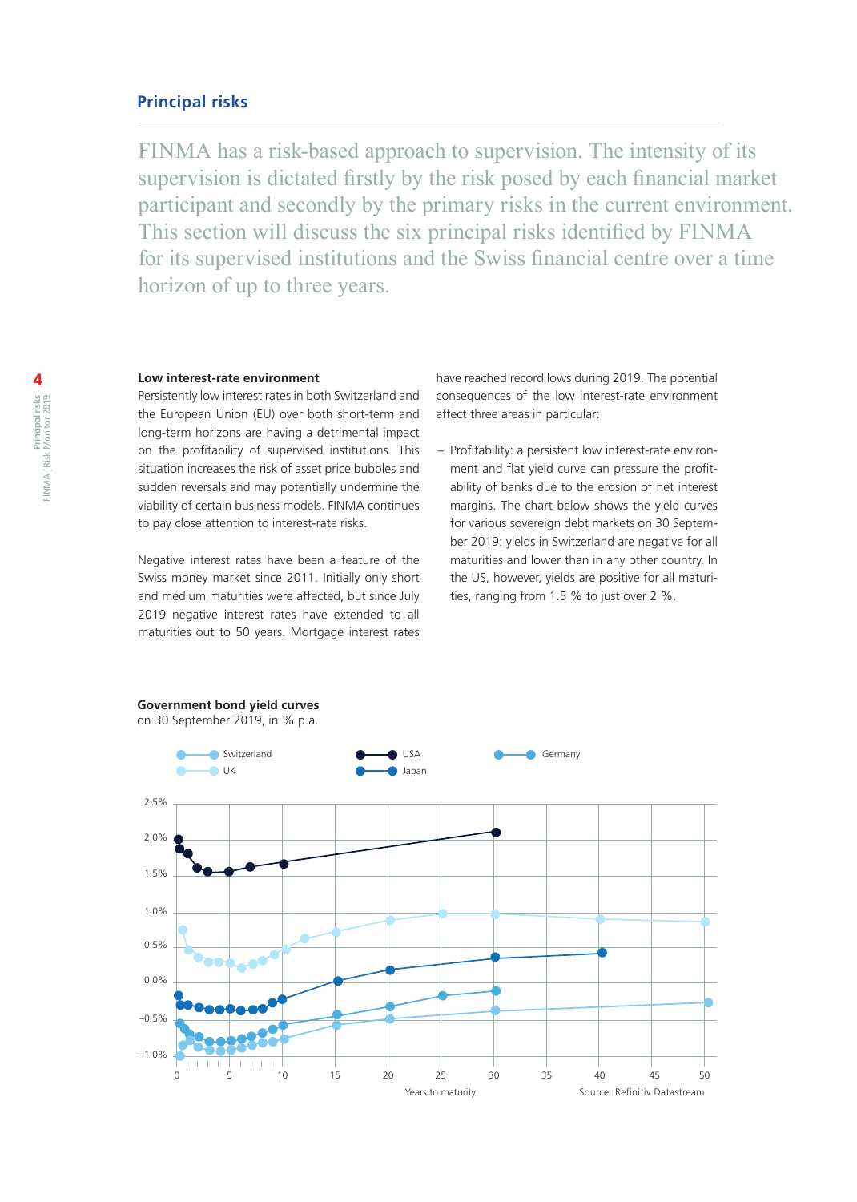## **Principal risks**

FINMA has a risk-based approach to supervision. The intensity of its supervision is dictated firstly by the risk posed by each financial market participant and secondly by the primary risks in the current environment. This section will discuss the six principal risks identified by FINMA for its supervised institutions and the Swiss financial centre over a time horizon of up to three years.

#### **Low interest-rate environment**

**Government bond yield curves** 

Persistently low interest rates in both Switzerland and the European Union (EU) over both short-term and long-term horizons are having a detrimental impact on the profitability of supervised institutions. This situation increases the risk of asset price bubbles and sudden reversals and may potentially undermine the viability of certain business models. FINMA continues to pay close attention to interest-rate risks.

Negative interest rates have been a feature of the Swiss money market since 2011. Initially only short and medium maturities were affected, but since July 2019 negative interest rates have extended to all maturities out to 50 years. Mortgage interest rates

have reached record lows during 2019. The potential consequences of the low interest-rate environment affect three areas in particular:

– Profitability: a persistent low interest-rate environment and flat yield curve can pressure the profitability of banks due to the erosion of net interest margins. The chart below shows the yield curves for various sovereign debt markets on 30 September 2019: yields in Switzerland are negative for all maturities and lower than in any other country. In the US, however, yields are positive for all maturities, ranging from 1.5 % to just over 2 %.

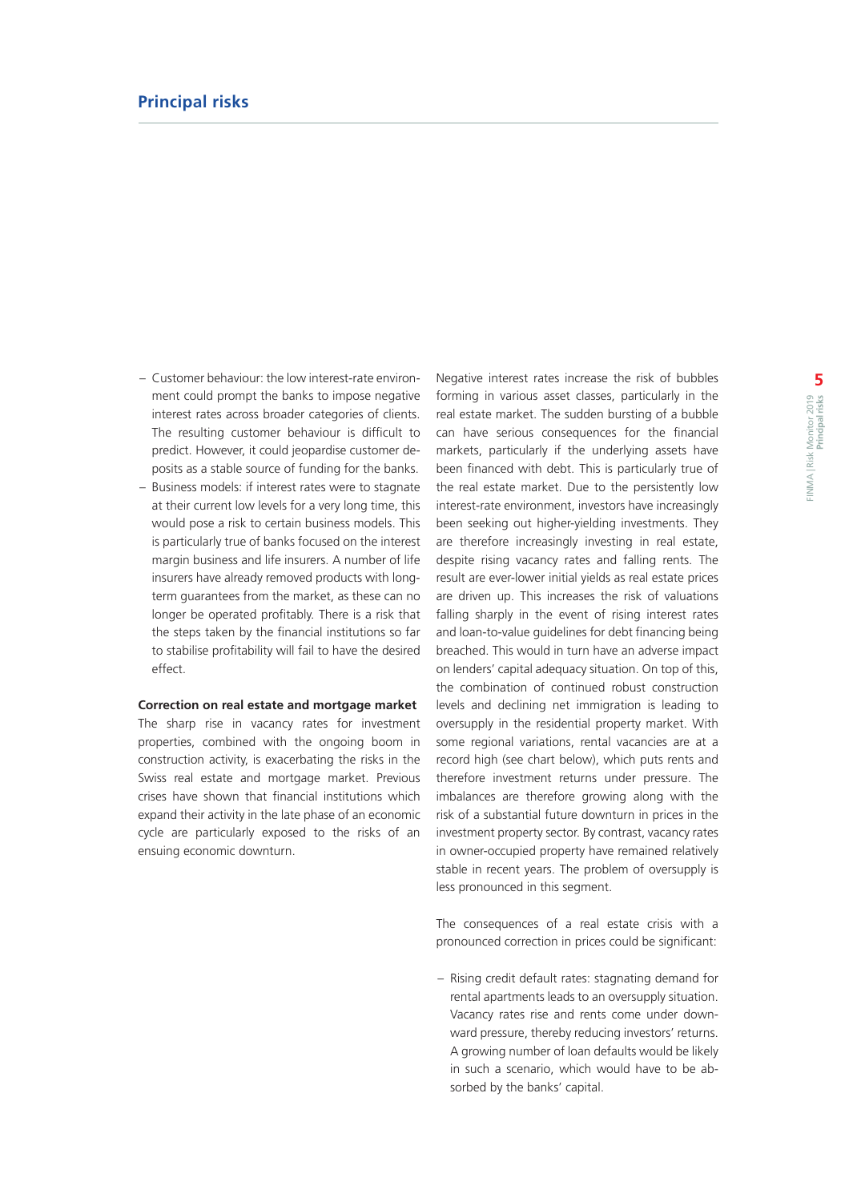- Customer behaviour: the low interest-rate environment could prompt the banks to impose negative interest rates across broader categories of clients. The resulting customer behaviour is difficult to predict. However, it could jeopardise customer deposits as a stable source of funding for the banks.
- Business models: if interest rates were to stagnate at their current low levels for a very long time, this would pose a risk to certain business models. This is particularly true of banks focused on the interest margin business and life insurers. A number of life insurers have already removed products with longterm guarantees from the market, as these can no longer be operated profitably. There is a risk that the steps taken by the financial institutions so far to stabilise profitability will fail to have the desired effect.

## **Correction on real estate and mortgage market**

The sharp rise in vacancy rates for investment properties, combined with the ongoing boom in construction activity, is exacerbating the risks in the Swiss real estate and mortgage market. Previous crises have shown that financial institutions which expand their activity in the late phase of an economic cycle are particularly exposed to the risks of an ensuing economic downturn.

Negative interest rates increase the risk of bubbles forming in various asset classes, particularly in the real estate market. The sudden bursting of a bubble can have serious consequences for the financial markets, particularly if the underlying assets have been financed with debt. This is particularly true of the real estate market. Due to the persistently low interest-rate environment, investors have increasingly been seeking out higher-yielding investments. They are therefore increasingly investing in real estate, despite rising vacancy rates and falling rents. The result are ever-lower initial yields as real estate prices are driven up. This increases the risk of valuations falling sharply in the event of rising interest rates and loan-to-value guidelines for debt financing being breached. This would in turn have an adverse impact on lenders' capital adequacy situation. On top of this, the combination of continued robust construction levels and declining net immigration is leading to oversupply in the residential property market. With some regional variations, rental vacancies are at a record high (see chart below), which puts rents and therefore investment returns under pressure. The imbalances are therefore growing along with the risk of a substantial future downturn in prices in the investment property sector. By contrast, vacancy rates in owner-occupied property have remained relatively stable in recent years. The problem of oversupply is less pronounced in this segment.

The consequences of a real estate crisis with a pronounced correction in prices could be significant:

– Rising credit default rates: stagnating demand for rental apartments leads to an oversupply situation. Vacancy rates rise and rents come under downward pressure, thereby reducing investors' returns. A growing number of loan defaults would be likely in such a scenario, which would have to be absorbed by the banks' capital.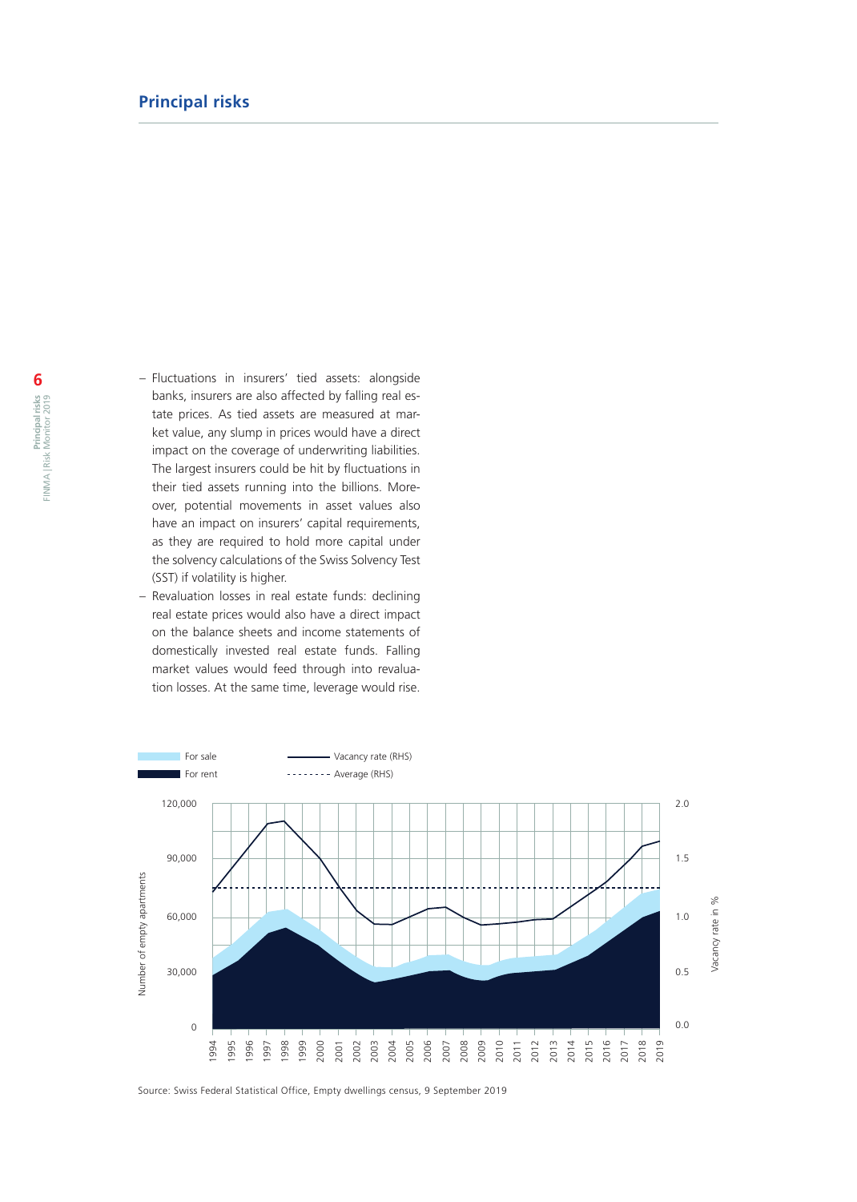- Fluctuations in insurers' tied assets: alongside banks, insurers are also affected by falling real estate prices. As tied assets are measured at market value, any slump in prices would have a direct impact on the coverage of underwriting liabilities. The largest insurers could be hit by fluctuations in their tied assets running into the billions. Moreover, potential movements in asset values also have an impact on insurers' capital requirements, as they are required to hold more capital under the solvency calculations of the Swiss Solvency Test (SST) if volatility is higher.
- Revaluation losses in real estate funds: declining real estate prices would also have a direct impact on the balance sheets and income statements of domestically invested real estate funds. Falling market values would feed through into revaluation losses. At the same time, leverage would rise.



Source: Swiss Federal Statistical Office, Empty dwellings census, 9 September 2019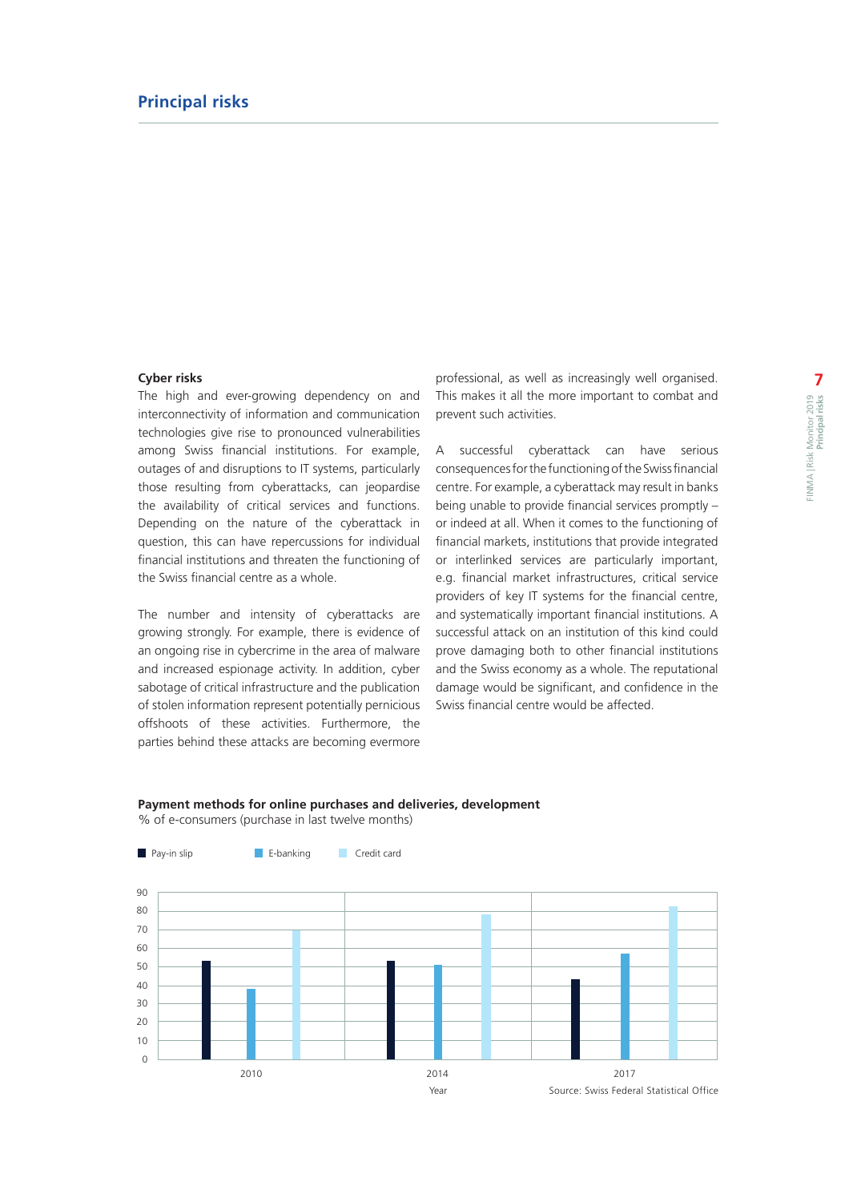#### **Cyber risks**

The high and ever-growing dependency on and interconnectivity of information and communication technologies give rise to pronounced vulnerabilities among Swiss financial institutions. For example, outages of and disruptions to IT systems, particularly those resulting from cyberattacks, can jeopardise the availability of critical services and functions. Depending on the nature of the cyberattack in question, this can have repercussions for individual financial institutions and threaten the functioning of the Swiss financial centre as a whole.

The number and intensity of cyberattacks are growing strongly. For example, there is evidence of an ongoing rise in cybercrime in the area of malware and increased espionage activity. In addition, cyber sabotage of critical infrastructure and the publication of stolen information represent potentially pernicious offshoots of these activities. Furthermore, the parties behind these attacks are becoming evermore

professional, as well as increasingly well organised. This makes it all the more important to combat and prevent such activities.

A successful cyberattack can have serious consequences for the functioning of the Swiss financial centre. For example, a cyberattack may result in banks being unable to provide financial services promptly – or indeed at all. When it comes to the functioning of financial markets, institutions that provide integrated or interlinked services are particularly important, e.g. financial market infrastructures, critical service providers of key IT systems for the financial centre, and systematically important financial institutions. A successful attack on an institution of this kind could prove damaging both to other financial institutions and the Swiss economy as a whole. The reputational damage would be significant, and confidence in the Swiss financial centre would be affected.

## **Payment methods for online purchases and deliveries, development**

% of e-consumers (purchase in last twelve months)

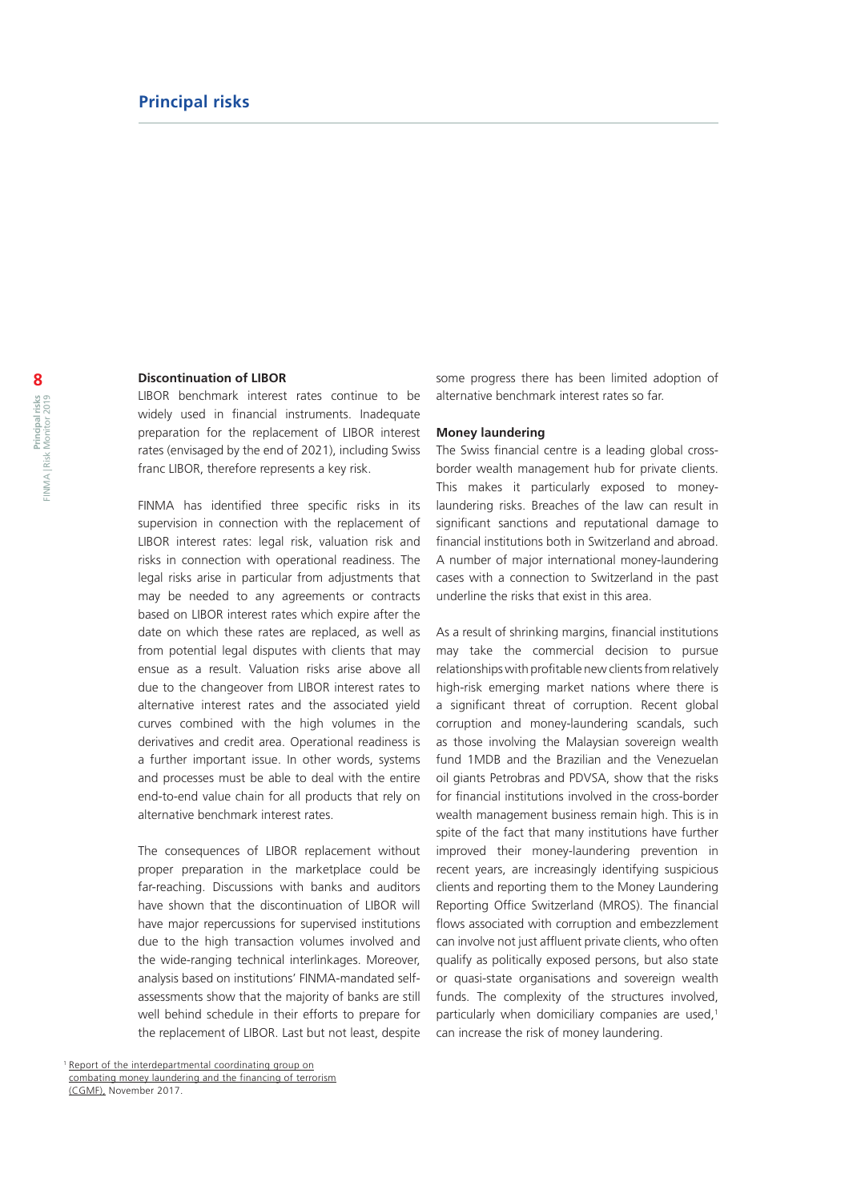### **Discontinuation of LIBOR**

LIBOR benchmark interest rates continue to be widely used in financial instruments. Inadequate preparation for the replacement of LIBOR interest rates (envisaged by the end of 2021), including Swiss franc LIBOR, therefore represents a key risk.

FINMA has identified three specific risks in its supervision in connection with the replacement of LIBOR interest rates: legal risk, valuation risk and risks in connection with operational readiness. The legal risks arise in particular from adjustments that may be needed to any agreements or contracts based on LIBOR interest rates which expire after the date on which these rates are replaced, as well as from potential legal disputes with clients that may ensue as a result. Valuation risks arise above all due to the changeover from LIBOR interest rates to alternative interest rates and the associated yield curves combined with the high volumes in the derivatives and credit area. Operational readiness is a further important issue. In other words, systems and processes must be able to deal with the entire end-to-end value chain for all products that rely on alternative benchmark interest rates.

The consequences of LIBOR replacement without proper preparation in the marketplace could be far-reaching. Discussions with banks and auditors have shown that the discontinuation of LIBOR will have major repercussions for supervised institutions due to the high transaction volumes involved and the wide-ranging technical interlinkages. Moreover, analysis based on institutions' FINMA-mandated selfassessments show that the majority of banks are still well behind schedule in their efforts to prepare for the replacement of LIBOR. Last but not least, despite

some progress there has been limited adoption of alternative benchmark interest rates so far.

#### **Money laundering**

The Swiss financial centre is a leading global crossborder wealth management hub for private clients. This makes it particularly exposed to moneylaundering risks. Breaches of the law can result in significant sanctions and reputational damage to financial institutions both in Switzerland and abroad. A number of major international money-laundering cases with a connection to Switzerland in the past underline the risks that exist in this area.

As a result of shrinking margins, financial institutions may take the commercial decision to pursue relationships with profitable new clients from relatively high-risk emerging market nations where there is a significant threat of corruption. Recent global corruption and money-laundering scandals, such as those involving the Malaysian sovereign wealth fund 1MDB and the Brazilian and the Venezuelan oil giants Petrobras and PDVSA, show that the risks for financial institutions involved in the cross-border wealth management business remain high. This is in spite of the fact that many institutions have further improved their money-laundering prevention in recent years, are increasingly identifying suspicious clients and reporting them to the Money Laundering Reporting Office Switzerland (MROS). The financial flows associated with corruption and embezzlement can involve not just affluent private clients, who often qualify as politically exposed persons, but also state or quasi-state organisations and sovereign wealth funds. The complexity of the structures involved, particularly when domiciliary companies are used,<sup>1</sup> can increase the risk of money laundering.

<sup>&</sup>lt;sup>1</sup> [Report of the interdepartmental coordinating group on](https://www.google.ch/url?sa=t&rct=j&q=&esrc=s&source=web&cd=1&ved=2ahUKEwiO9LXHxbfkAhWDyKYKHWXMCzQQFjAAegQIABAB&url=https%3A%2F%2Fwww.newsd.admin.ch%2Fnewsd%2Fmessage%2Fattachments%2F52564.pdf&usg=AOvVaw0oFqYdQthWkPs12jeBQ3P7) [combating money laundering and the financing of terrorism](https://www.google.ch/url?sa=t&rct=j&q=&esrc=s&source=web&cd=1&ved=2ahUKEwiO9LXHxbfkAhWDyKYKHWXMCzQQFjAAegQIABAB&url=https%3A%2F%2Fwww.newsd.admin.ch%2Fnewsd%2Fmessage%2Fattachments%2F52564.pdf&usg=AOvVaw0oFqYdQthWkPs12jeBQ3P7) (CGMF), November 2017.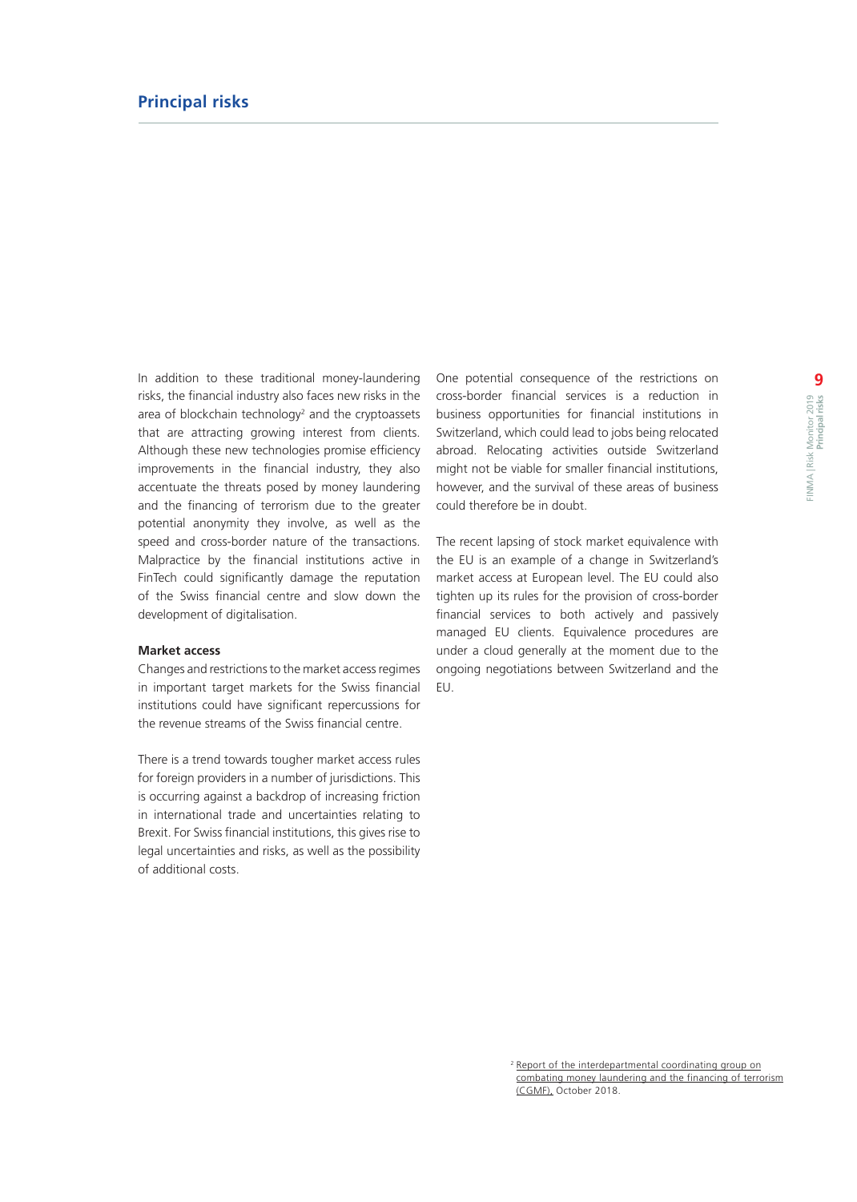In addition to these traditional money-laundering risks, the financial industry also faces new risks in the area of blockchain technology<sup>2</sup> and the cryptoassets that are attracting growing interest from clients. Although these new technologies promise efficiency improvements in the financial industry, they also accentuate the threats posed by money laundering and the financing of terrorism due to the greater potential anonymity they involve, as well as the speed and cross-border nature of the transactions. Malpractice by the financial institutions active in FinTech could significantly damage the reputation of the Swiss financial centre and slow down the development of digitalisation.

#### **Market access**

Changes and restrictions to the market access regimes in important target markets for the Swiss financial institutions could have significant repercussions for the revenue streams of the Swiss financial centre.

There is a trend towards tougher market access rules for foreign providers in a number of jurisdictions. This is occurring against a backdrop of increasing friction in international trade and uncertainties relating to Brexit. For Swiss financial institutions, this gives rise to legal uncertainties and risks, as well as the possibility of additional costs.

One potential consequence of the restrictions on cross-border financial services is a reduction in business opportunities for financial institutions in Switzerland, which could lead to jobs being relocated abroad. Relocating activities outside Switzerland might not be viable for smaller financial institutions, however, and the survival of these areas of business could therefore be in doubt.

The recent lapsing of stock market equivalence with the EU is an example of a change in Switzerland's market access at European level. The EU could also tighten up its rules for the provision of cross-border financial services to both actively and passively managed EU clients. Equivalence procedures are under a cloud generally at the moment due to the ongoing negotiations between Switzerland and the EU.

<sup>2</sup> [Report of the interdepartmental coordinating group on](https://www.newsd.admin.ch/newsd/message/attachments/56166.pdf) [combating money laundering and the financing of terrorism](https://www.newsd.admin.ch/newsd/message/attachments/56166.pdf) (CGMF), October 2018.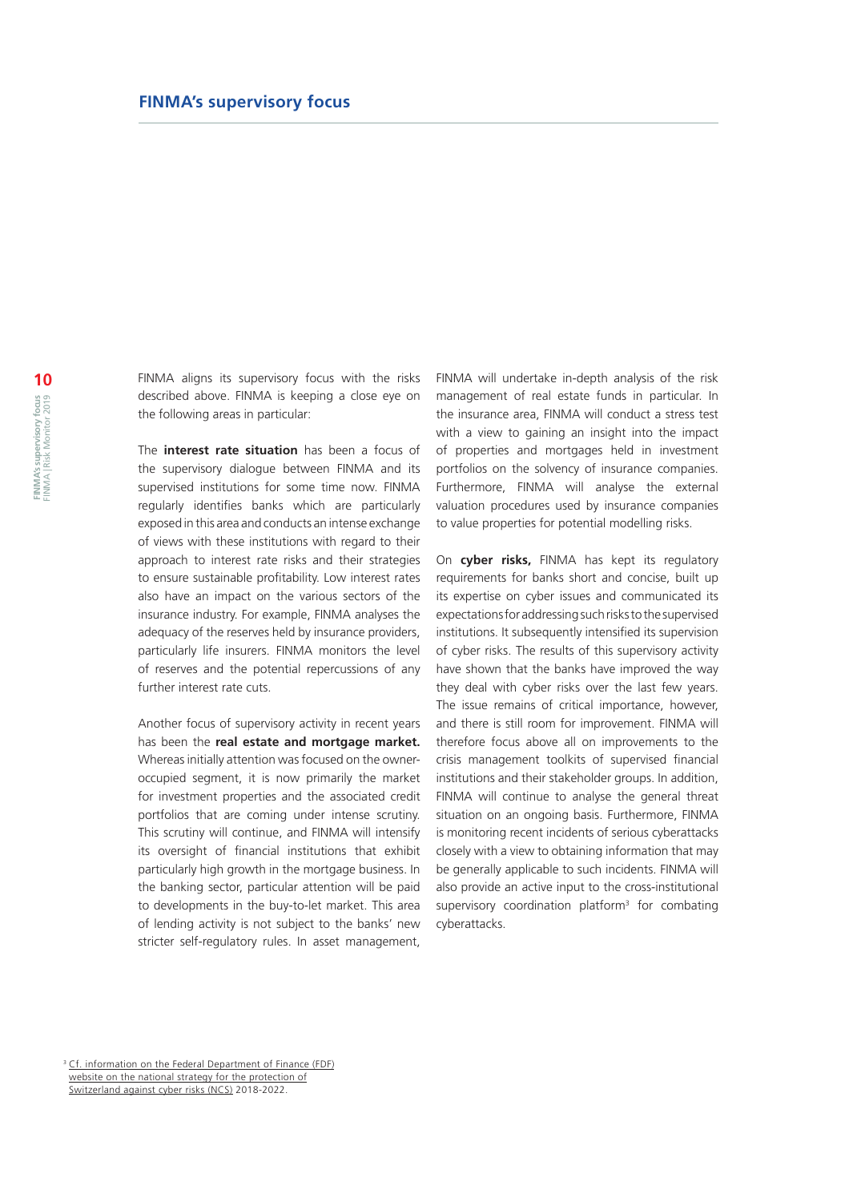FINMA aligns its supervisory focus with the risks described above. FINMA is keeping a close eye on the following areas in particular:

The **interest rate situation** has been a focus of the supervisory dialogue between FINMA and its supervised institutions for some time now. FINMA regularly identifies banks which are particularly exposed in this area and conducts an intense exchange of views with these institutions with regard to their approach to interest rate risks and their strategies to ensure sustainable profitability. Low interest rates also have an impact on the various sectors of the insurance industry. For example, FINMA analyses the adequacy of the reserves held by insurance providers, particularly life insurers. FINMA monitors the level of reserves and the potential repercussions of any further interest rate cuts.

Another focus of supervisory activity in recent years has been the **real estate and mortgage market.**  Whereas initially attention was focused on the owneroccupied segment, it is now primarily the market for investment properties and the associated credit portfolios that are coming under intense scrutiny. This scrutiny will continue, and FINMA will intensify its oversight of financial institutions that exhibit particularly high growth in the mortgage business. In the banking sector, particular attention will be paid to developments in the buy-to-let market. This area of lending activity is not subject to the banks' new stricter self-regulatory rules. In asset management,

FINMA will undertake in-depth analysis of the risk management of real estate funds in particular. In the insurance area, FINMA will conduct a stress test with a view to gaining an insight into the impact of properties and mortgages held in investment portfolios on the solvency of insurance companies. Furthermore, FINMA will analyse the external valuation procedures used by insurance companies to value properties for potential modelling risks.

On **cyber risks,** FINMA has kept its regulatory requirements for banks short and concise, built up its expertise on cyber issues and communicated its expectations for addressing such risks to the supervised institutions. It subsequently intensified its supervision of cyber risks. The results of this supervisory activity have shown that the banks have improved the way they deal with cyber risks over the last few years. The issue remains of critical importance, however, and there is still room for improvement. FINMA will therefore focus above all on improvements to the crisis management toolkits of supervised financial institutions and their stakeholder groups. In addition, FINMA will continue to analyse the general threat situation on an ongoing basis. Furthermore, FINMA is monitoring recent incidents of serious cyberattacks closely with a view to obtaining information that may be generally applicable to such incidents. FINMA will also provide an active input to the cross-institutional supervisory coordination platform $3$  for combating cyberattacks.

<sup>3</sup> [Cf. information on the Federal Department of Finance \(FDF\)](https://www.isb.admin.ch/isb/en/home/ikt-vorgaben/strategien-teilstrategien/sn002-nationale_strategie_schutz_schweiz_cyber-risiken_ncs.html) [website on the national strategy for the protection of](https://www.isb.admin.ch/isb/en/home/ikt-vorgaben/strategien-teilstrategien/sn002-nationale_strategie_schutz_schweiz_cyber-risiken_ncs.html) [Switzerland against cyber risks \(NCS\) 2018-2022.](https://www.isb.admin.ch/isb/en/home/ikt-vorgaben/strategien-teilstrategien/sn002-nationale_strategie_schutz_schweiz_cyber-risiken_ncs.html)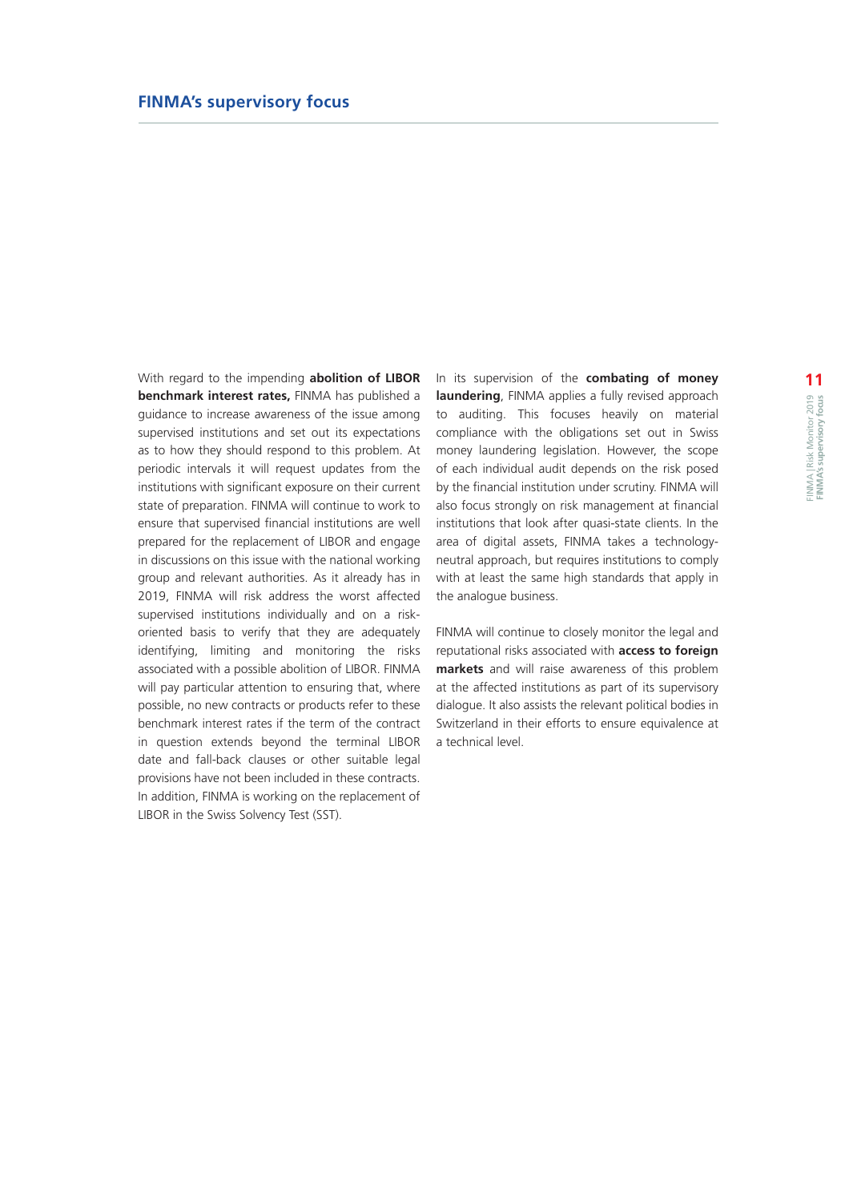With regard to the impending **abolition of LIBOR benchmark interest rates,** FINMA has published a guidance to increase awareness of the issue among supervised institutions and set out its expectations as to how they should respond to this problem. At periodic intervals it will request updates from the institutions with significant exposure on their current state of preparation. FINMA will continue to work to ensure that supervised financial institutions are well prepared for the replacement of LIBOR and engage in discussions on this issue with the national working group and relevant authorities. As it already has in 2019, FINMA will risk address the worst affected supervised institutions individually and on a riskoriented basis to verify that they are adequately identifying, limiting and monitoring the risks associated with a possible abolition of LIBOR. FINMA will pay particular attention to ensuring that, where possible, no new contracts or products refer to these benchmark interest rates if the term of the contract in question extends beyond the terminal LIBOR date and fall-back clauses or other suitable legal provisions have not been included in these contracts. In addition, FINMA is working on the replacement of LIBOR in the Swiss Solvency Test (SST).

In its supervision of the **combating of money laundering**, FINMA applies a fully revised approach to auditing. This focuses heavily on material compliance with the obligations set out in Swiss money laundering legislation. However, the scope of each individual audit depends on the risk posed by the financial institution under scrutiny. FINMA will also focus strongly on risk management at financial institutions that look after quasi-state clients. In the area of digital assets, FINMA takes a technologyneutral approach, but requires institutions to comply with at least the same high standards that apply in the analogue business.

FINMA will continue to closely monitor the legal and reputational risks associated with **access to foreign markets** and will raise awareness of this problem at the affected institutions as part of its supervisory dialogue. It also assists the relevant political bodies in Switzerland in their efforts to ensure equivalence at a technical level.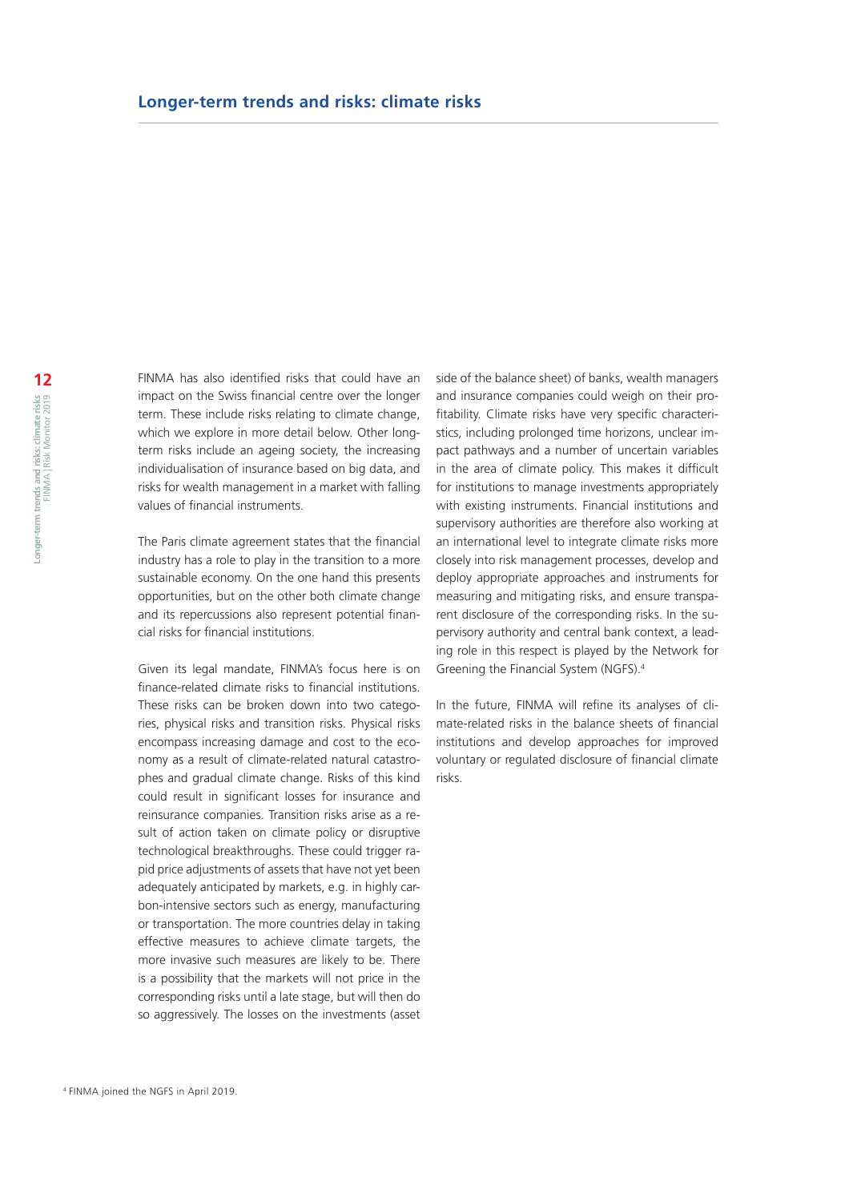## **Longer-term trends and risks: climate risks**

FINMA has also identified risks that could have an impact on the Swiss financial centre over the longer term. These include risks relating to climate change, which we explore in more detail below. Other longterm risks include an ageing society, the increasing individualisation of insurance based on big data, and risks for wealth management in a market with falling values of financial instruments.

The Paris climate agreement states that the financial industry has a role to play in the transition to a more sustainable economy. On the one hand this presents opportunities, but on the other both climate change and its repercussions also represent potential financial risks for financial institutions.

Given its legal mandate, FINMA's focus here is on finance-related climate risks to financial institutions. These risks can be broken down into two categories, physical risks and transition risks. Physical risks encompass increasing damage and cost to the economy as a result of climate-related natural catastrophes and gradual climate change. Risks of this kind could result in significant losses for insurance and reinsurance companies. Transition risks arise as a result of action taken on climate policy or disruptive technological breakthroughs. These could trigger rapid price adjustments of assets that have not yet been adequately anticipated by markets, e.g. in highly carbon-intensive sectors such as energy, manufacturing or transportation. The more countries delay in taking effective measures to achieve climate targets, the more invasive such measures are likely to be. There is a possibility that the markets will not price in the corresponding risks until a late stage, but will then do so aggressively. The losses on the investments (asset side of the balance sheet) of banks, wealth managers and insurance companies could weigh on their profitability. Climate risks have very specific characteristics, including prolonged time horizons, unclear impact pathways and a number of uncertain variables in the area of climate policy. This makes it difficult for institutions to manage investments appropriately with existing instruments. Financial institutions and supervisory authorities are therefore also working at an international level to integrate climate risks more closely into risk management processes, develop and deploy appropriate approaches and instruments for measuring and mitigating risks, and ensure transparent disclosure of the corresponding risks. In the supervisory authority and central bank context, a leading role in this respect is played by the Network for Greening the Financial System (NGFS).4

In the future, FINMA will refine its analyses of climate-related risks in the balance sheets of financial institutions and develop approaches for improved voluntary or regulated disclosure of financial climate risks.